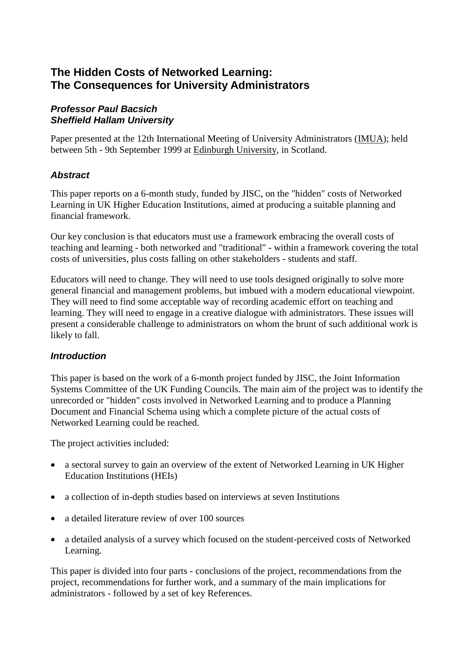#### *Professor Paul Bacsich Sheffield Hallam University*

Paper presented at the 12th International Meeting of University Administrators [\(IMUA\)](http://www.imua.ed.ac.uk/); held between 5th - 9th September 1999 at [Edinburgh University,](http://www.ed.ac.uk/) in Scotland.

# *Abstract*

This paper reports on a 6-month study, funded by JISC, on the "hidden" costs of Networked Learning in UK Higher Education Institutions, aimed at producing a suitable planning and financial framework.

Our key conclusion is that educators must use a framework embracing the overall costs of teaching and learning - both networked and "traditional" - within a framework covering the total costs of universities, plus costs falling on other stakeholders - students and staff.

Educators will need to change. They will need to use tools designed originally to solve more general financial and management problems, but imbued with a modern educational viewpoint. They will need to find some acceptable way of recording academic effort on teaching and learning. They will need to engage in a creative dialogue with administrators. These issues will present a considerable challenge to administrators on whom the brunt of such additional work is likely to fall.

### *Introduction*

This paper is based on the work of a 6-month project funded by JISC, the Joint Information Systems Committee of the UK Funding Councils. The main aim of the project was to identify the unrecorded or "hidden" costs involved in Networked Learning and to produce a Planning Document and Financial Schema using which a complete picture of the actual costs of Networked Learning could be reached.

The project activities included:

- a sectoral survey to gain an overview of the extent of Networked Learning in UK Higher Education Institutions (HEIs)
- a collection of in-depth studies based on interviews at seven Institutions
- a detailed literature review of over 100 sources
- a detailed analysis of a survey which focused on the student-perceived costs of Networked Learning.

This paper is divided into four parts - conclusions of the project, recommendations from the project, recommendations for further work, and a summary of the main implications for administrators - followed by a set of key References.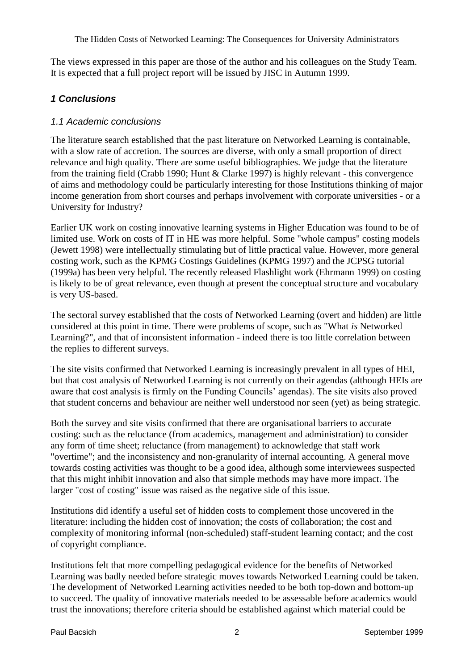The views expressed in this paper are those of the author and his colleagues on the Study Team. It is expected that a full project report will be issued by JISC in Autumn 1999.

## *1 Conclusions*

#### *1.1 Academic conclusions*

The literature search established that the past literature on Networked Learning is containable, with a slow rate of accretion. The sources are diverse, with only a small proportion of direct relevance and high quality. There are some useful bibliographies. We judge that the literature from the training field (Crabb 1990; Hunt & Clarke 1997) is highly relevant - this convergence of aims and methodology could be particularly interesting for those Institutions thinking of major income generation from short courses and perhaps involvement with corporate universities - or a University for Industry?

Earlier UK work on costing innovative learning systems in Higher Education was found to be of limited use. Work on costs of IT in HE was more helpful. Some "whole campus" costing models (Jewett 1998) were intellectually stimulating but of little practical value. However, more general costing work, such as the KPMG Costings Guidelines (KPMG 1997) and the JCPSG tutorial (1999a) has been very helpful. The recently released Flashlight work (Ehrmann 1999) on costing is likely to be of great relevance, even though at present the conceptual structure and vocabulary is very US-based.

The sectoral survey established that the costs of Networked Learning (overt and hidden) are little considered at this point in time. There were problems of scope, such as "What *is* Networked Learning?", and that of inconsistent information - indeed there is too little correlation between the replies to different surveys.

The site visits confirmed that Networked Learning is increasingly prevalent in all types of HEI, but that cost analysis of Networked Learning is not currently on their agendas (although HEIs are aware that cost analysis is firmly on the Funding Councils' agendas). The site visits also proved that student concerns and behaviour are neither well understood nor seen (yet) as being strategic.

Both the survey and site visits confirmed that there are organisational barriers to accurate costing: such as the reluctance (from academics, management and administration) to consider any form of time sheet; reluctance (from management) to acknowledge that staff work "overtime"; and the inconsistency and non-granularity of internal accounting. A general move towards costing activities was thought to be a good idea, although some interviewees suspected that this might inhibit innovation and also that simple methods may have more impact. The larger "cost of costing" issue was raised as the negative side of this issue.

Institutions did identify a useful set of hidden costs to complement those uncovered in the literature: including the hidden cost of innovation; the costs of collaboration; the cost and complexity of monitoring informal (non-scheduled) staff-student learning contact; and the cost of copyright compliance.

Institutions felt that more compelling pedagogical evidence for the benefits of Networked Learning was badly needed before strategic moves towards Networked Learning could be taken. The development of Networked Learning activities needed to be both top-down and bottom-up to succeed. The quality of innovative materials needed to be assessable before academics would trust the innovations; therefore criteria should be established against which material could be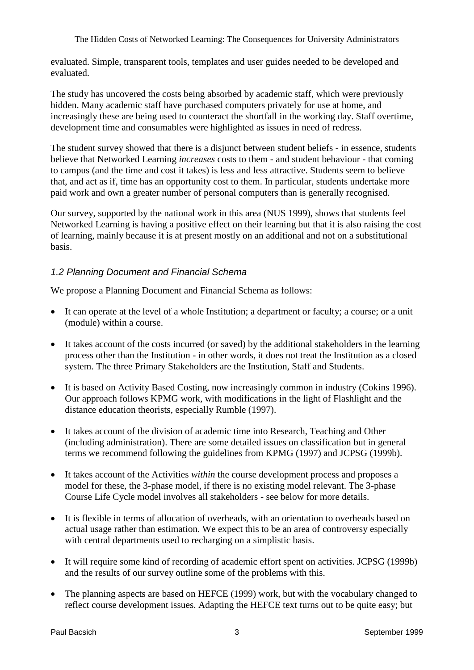evaluated. Simple, transparent tools, templates and user guides needed to be developed and evaluated.

The study has uncovered the costs being absorbed by academic staff, which were previously hidden. Many academic staff have purchased computers privately for use at home, and increasingly these are being used to counteract the shortfall in the working day. Staff overtime, development time and consumables were highlighted as issues in need of redress.

The student survey showed that there is a disjunct between student beliefs - in essence, students believe that Networked Learning *increases* costs to them - and student behaviour - that coming to campus (and the time and cost it takes) is less and less attractive. Students seem to believe that, and act as if, time has an opportunity cost to them. In particular, students undertake more paid work and own a greater number of personal computers than is generally recognised.

Our survey, supported by the national work in this area (NUS 1999), shows that students feel Networked Learning is having a positive effect on their learning but that it is also raising the cost of learning, mainly because it is at present mostly on an additional and not on a substitutional basis.

### *1.2 Planning Document and Financial Schema*

We propose a Planning Document and Financial Schema as follows:

- It can operate at the level of a whole Institution; a department or faculty; a course; or a unit (module) within a course.
- It takes account of the costs incurred (or saved) by the additional stakeholders in the learning process other than the Institution - in other words, it does not treat the Institution as a closed system. The three Primary Stakeholders are the Institution, Staff and Students.
- It is based on Activity Based Costing, now increasingly common in industry (Cokins 1996). Our approach follows KPMG work, with modifications in the light of Flashlight and the distance education theorists, especially Rumble (1997).
- It takes account of the division of academic time into Research, Teaching and Other (including administration). There are some detailed issues on classification but in general terms we recommend following the guidelines from KPMG (1997) and JCPSG (1999b).
- It takes account of the Activities *within* the course development process and proposes a model for these, the 3-phase model, if there is no existing model relevant. The 3-phase Course Life Cycle model involves all stakeholders - see below for more details.
- It is flexible in terms of allocation of overheads, with an orientation to overheads based on actual usage rather than estimation. We expect this to be an area of controversy especially with central departments used to recharging on a simplistic basis.
- It will require some kind of recording of academic effort spent on activities. JCPSG (1999b) and the results of our survey outline some of the problems with this.
- The planning aspects are based on HEFCE (1999) work, but with the vocabulary changed to reflect course development issues. Adapting the HEFCE text turns out to be quite easy; but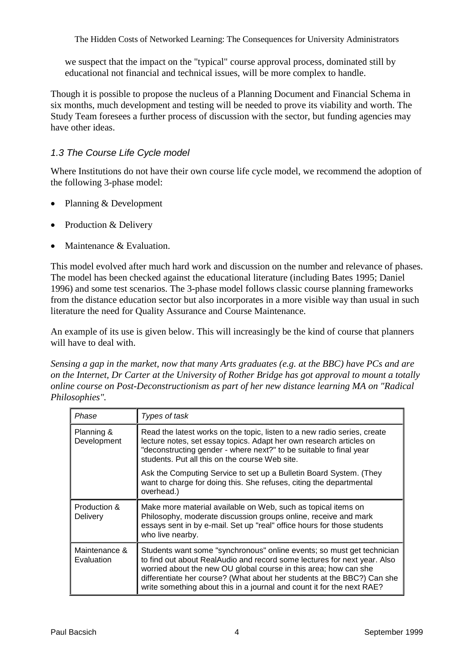we suspect that the impact on the "typical" course approval process, dominated still by educational not financial and technical issues, will be more complex to handle.

Though it is possible to propose the nucleus of a Planning Document and Financial Schema in six months, much development and testing will be needed to prove its viability and worth. The Study Team foresees a further process of discussion with the sector, but funding agencies may have other ideas.

### *1.3 The Course Life Cycle model*

Where Institutions do not have their own course life cycle model, we recommend the adoption of the following 3-phase model:

- Planning & Development
- Production & Delivery
- Maintenance & Evaluation.

This model evolved after much hard work and discussion on the number and relevance of phases. The model has been checked against the educational literature (including Bates 1995; Daniel 1996) and some test scenarios. The 3-phase model follows classic course planning frameworks from the distance education sector but also incorporates in a more visible way than usual in such literature the need for Quality Assurance and Course Maintenance.

An example of its use is given below. This will increasingly be the kind of course that planners will have to deal with.

*Sensing a gap in the market, now that many Arts graduates (e.g. at the BBC) have PCs and are on the Internet, Dr Carter at the University of Rother Bridge has got approval to mount a totally online course on Post-Deconstructionism as part of her new distance learning MA on "Radical Philosophies".*

| Phase                       | Types of task                                                                                                                                                                                                                                                                                                                                                               |
|-----------------------------|-----------------------------------------------------------------------------------------------------------------------------------------------------------------------------------------------------------------------------------------------------------------------------------------------------------------------------------------------------------------------------|
| Planning &<br>Development   | Read the latest works on the topic, listen to a new radio series, create<br>lecture notes, set essay topics. Adapt her own research articles on<br>"deconstructing gender - where next?" to be suitable to final year<br>students. Put all this on the course Web site.                                                                                                     |
|                             | Ask the Computing Service to set up a Bulletin Board System. (They<br>want to charge for doing this. She refuses, citing the departmental<br>overhead.)                                                                                                                                                                                                                     |
| Production &<br>Delivery    | Make more material available on Web, such as topical items on<br>Philosophy, moderate discussion groups online, receive and mark<br>essays sent in by e-mail. Set up "real" office hours for those students<br>who live nearby.                                                                                                                                             |
| Maintenance &<br>Evaluation | Students want some "synchronous" online events; so must get technician<br>to find out about RealAudio and record some lectures for next year. Also<br>worried about the new OU global course in this area; how can she<br>differentiate her course? (What about her students at the BBC?) Can she<br>write something about this in a journal and count it for the next RAE? |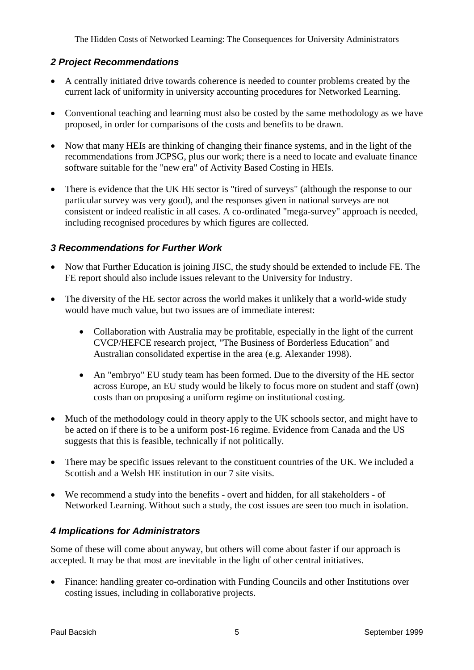### *2 Project Recommendations*

- A centrally initiated drive towards coherence is needed to counter problems created by the current lack of uniformity in university accounting procedures for Networked Learning.
- Conventional teaching and learning must also be costed by the same methodology as we have proposed, in order for comparisons of the costs and benefits to be drawn.
- Now that many HEIs are thinking of changing their finance systems, and in the light of the recommendations from JCPSG, plus our work; there is a need to locate and evaluate finance software suitable for the "new era" of Activity Based Costing in HEIs.
- There is evidence that the UK HE sector is "tired of surveys" (although the response to our particular survey was very good), and the responses given in national surveys are not consistent or indeed realistic in all cases. A co-ordinated "mega-survey" approach is needed, including recognised procedures by which figures are collected.

## *3 Recommendations for Further Work*

- Now that Further Education is joining JISC, the study should be extended to include FE. The FE report should also include issues relevant to the University for Industry.
- The diversity of the HE sector across the world makes it unlikely that a world-wide study would have much value, but two issues are of immediate interest:
	- Collaboration with Australia may be profitable, especially in the light of the current CVCP/HEFCE research project, "The Business of Borderless Education" and Australian consolidated expertise in the area (e.g. Alexander 1998).
	- An "embryo" EU study team has been formed. Due to the diversity of the HE sector across Europe, an EU study would be likely to focus more on student and staff (own) costs than on proposing a uniform regime on institutional costing.
- Much of the methodology could in theory apply to the UK schools sector, and might have to be acted on if there is to be a uniform post-16 regime. Evidence from Canada and the US suggests that this is feasible, technically if not politically.
- There may be specific issues relevant to the constituent countries of the UK. We included a Scottish and a Welsh HE institution in our 7 site visits.
- We recommend a study into the benefits overt and hidden, for all stakeholders of Networked Learning. Without such a study, the cost issues are seen too much in isolation.

# *4 Implications for Administrators*

Some of these will come about anyway, but others will come about faster if our approach is accepted. It may be that most are inevitable in the light of other central initiatives.

 Finance: handling greater co-ordination with Funding Councils and other Institutions over costing issues, including in collaborative projects.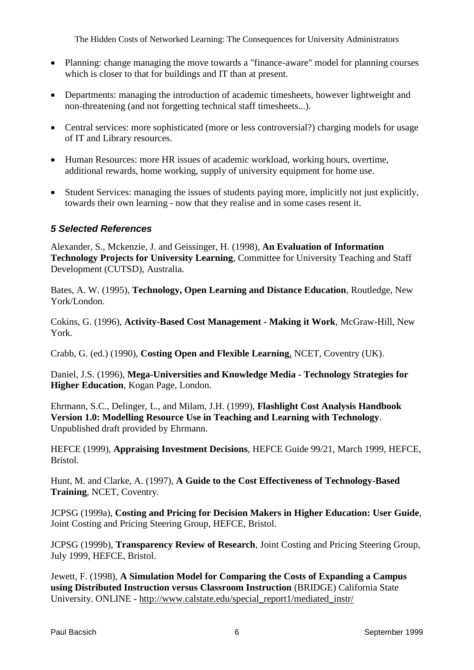- Planning: change managing the move towards a "finance-aware" model for planning courses which is closer to that for buildings and IT than at present.
- Departments: managing the introduction of academic timesheets, however lightweight and non-threatening (and not forgetting technical staff timesheets...).
- Central services: more sophisticated (more or less controversial?) charging models for usage of IT and Library resources.
- Human Resources: more HR issues of academic workload, working hours, overtime, additional rewards, home working, supply of university equipment for home use.
- Student Services: managing the issues of students paying more, implicitly not just explicitly, towards their own learning - now that they realise and in some cases resent it.

#### *5 Selected References*

Alexander, S., Mckenzie, J. and Geissinger, H. (1998), **An Evaluation of Information Technology Projects for University Learning**, Committee for University Teaching and Staff Development (CUTSD), Australia.

Bates, A. W. (1995), **Technology, Open Learning and Distance Education**, Routledge, New York/London.

Cokins, G. (1996), **Activity-Based Cost Management - Making it Work**, McGraw-Hill, New York.

Crabb, G. (ed.) (1990), **Costing Open and Flexible Learning**, NCET, Coventry (UK).

Daniel, J.S. (1996), **Mega-Universities and Knowledge Media - Technology Strategies for Higher Education**, Kogan Page, London.

Ehrmann, S.C., Delinger, L., and Milam, J.H. (1999), **Flashlight Cost Analysis Handbook Version 1.0: Modelling Resource Use in Teaching and Learning with Technology**. Unpublished draft provided by Ehrmann.

HEFCE (1999), **Appraising Investment Decisions**, HEFCE Guide 99/21, March 1999, HEFCE, Bristol.

Hunt, M. and Clarke, A. (1997), **A Guide to the Cost Effectiveness of Technology-Based Training**, NCET, Coventry.

JCPSG (1999a), **Costing and Pricing for Decision Makers in Higher Education: User Guide**, Joint Costing and Pricing Steering Group, HEFCE, Bristol.

JCPSG (1999b), **Transparency Review of Research**, Joint Costing and Pricing Steering Group, July 1999, HEFCE, Bristol.

Jewett, F. (1998), **A Simulation Model for Comparing the Costs of Expanding a Campus using Distributed Instruction versus Classroom Instruction** (BRIDGE) California State University. ONLINE - [http://www.calstate.edu/special\\_report1/mediated\\_instr/](http://www.calstate.edu/special_report1/mediated_instr/)